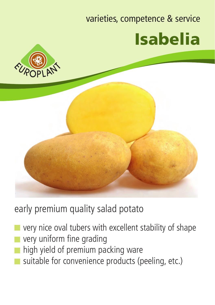## varieties, competence & service Isabelia





early premium quality salad potato

- very nice oval tubers with excellent stability of shape very uniform fine grading
- high yield of premium packing ware
- suitable for convenience products (peeling, etc.)